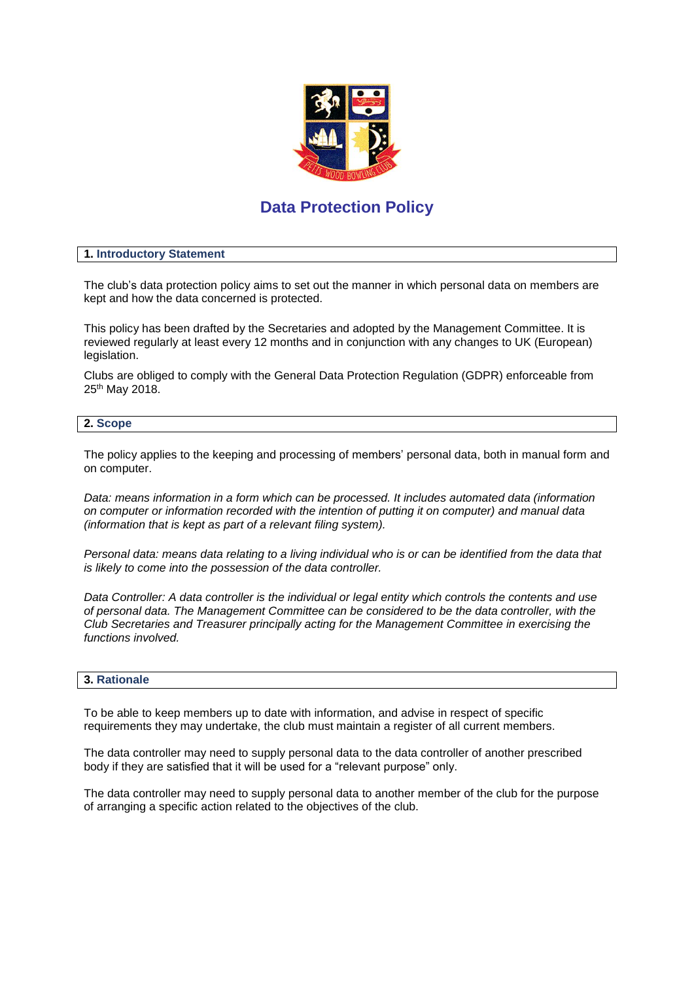

# **Data Protection Policy**

#### **1. Introductory Statement**

The club's data protection policy aims to set out the manner in which personal data on members are kept and how the data concerned is protected.

This policy has been drafted by the Secretaries and adopted by the Management Committee. It is reviewed regularly at least every 12 months and in conjunction with any changes to UK (European) legislation.

Clubs are obliged to comply with the General Data Protection Regulation (GDPR) enforceable from 25th May 2018.

#### **2. Scope**

The policy applies to the keeping and processing of members' personal data, both in manual form and on computer.

*Data: means information in a form which can be processed. It includes automated data (information on computer or information recorded with the intention of putting it on computer) and manual data (information that is kept as part of a relevant filing system).*

*Personal data: means data relating to a living individual who is or can be identified from the data that is likely to come into the possession of the data controller.*

*Data Controller: A data controller is the individual or legal entity which controls the contents and use of personal data. The Management Committee can be considered to be the data controller, with the Club Secretaries and Treasurer principally acting for the Management Committee in exercising the functions involved.* 

#### **3. Rationale**

To be able to keep members up to date with information, and advise in respect of specific requirements they may undertake, the club must maintain a register of all current members.

The data controller may need to supply personal data to the data controller of another prescribed body if they are satisfied that it will be used for a "relevant purpose" only.

The data controller may need to supply personal data to another member of the club for the purpose of arranging a specific action related to the objectives of the club.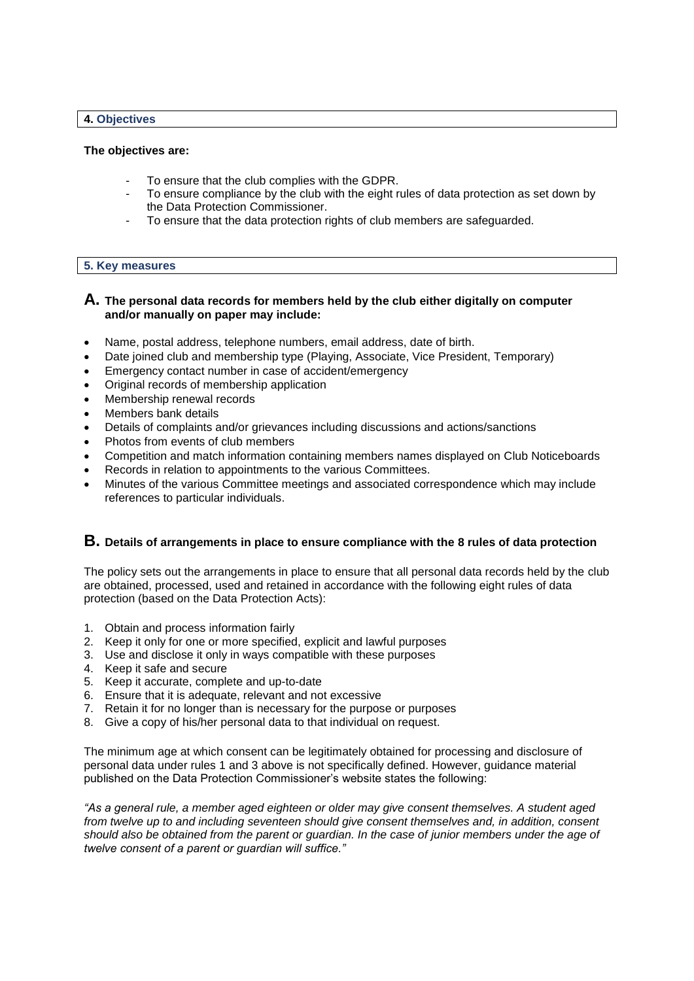#### **4. Objectives**

#### **The objectives are:**

- To ensure that the club complies with the GDPR.
- To ensure compliance by the club with the eight rules of data protection as set down by the Data Protection Commissioner.
- To ensure that the data protection rights of club members are safeguarded.

#### **5. Key measures**

# **A. The personal data records for members held by the club either digitally on computer and/or manually on paper may include:**

- Name, postal address, telephone numbers, email address, date of birth.
- Date joined club and membership type (Playing, Associate, Vice President, Temporary)
- Emergency contact number in case of accident/emergency
- Original records of membership application
- Membership renewal records
- Members bank details
- Details of complaints and/or grievances including discussions and actions/sanctions
- Photos from events of club members
- Competition and match information containing members names displayed on Club Noticeboards
- Records in relation to appointments to the various Committees.
- Minutes of the various Committee meetings and associated correspondence which may include references to particular individuals.

# **B. Details of arrangements in place to ensure compliance with the 8 rules of data protection**

The policy sets out the arrangements in place to ensure that all personal data records held by the club are obtained, processed, used and retained in accordance with the following eight rules of data protection (based on the Data Protection Acts):

- 1. Obtain and process information fairly
- 2. Keep it only for one or more specified, explicit and lawful purposes
- 3. Use and disclose it only in ways compatible with these purposes
- 4. Keep it safe and secure
- 5. Keep it accurate, complete and up-to-date
- 6. Ensure that it is adequate, relevant and not excessive
- 7. Retain it for no longer than is necessary for the purpose or purposes
- 8. Give a copy of his/her personal data to that individual on request.

The minimum age at which consent can be legitimately obtained for processing and disclosure of personal data under rules 1 and 3 above is not specifically defined. However, guidance material published on the Data Protection Commissioner's website states the following:

*"As a general rule, a member aged eighteen or older may give consent themselves. A student aged from twelve up to and including seventeen should give consent themselves and, in addition, consent should also be obtained from the parent or guardian. In the case of junior members under the age of twelve consent of a parent or guardian will suffice."*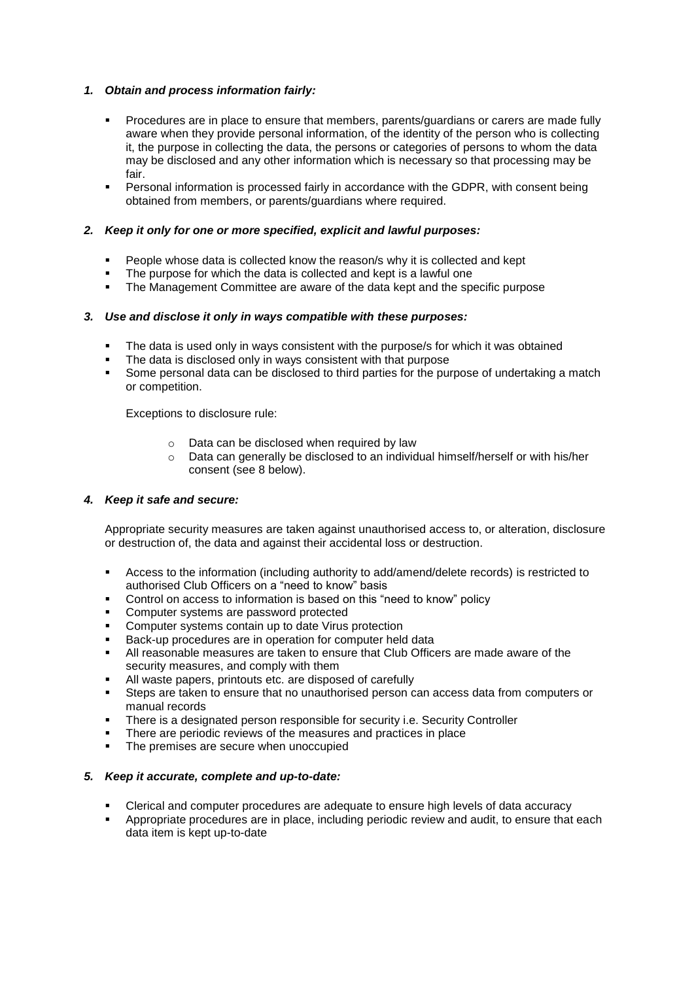# *1. Obtain and process information fairly:*

- **Procedures are in place to ensure that members, parents/guardians or carers are made fully** aware when they provide personal information, of the identity of the person who is collecting it, the purpose in collecting the data, the persons or categories of persons to whom the data may be disclosed and any other information which is necessary so that processing may be fair.
- Personal information is processed fairly in accordance with the GDPR, with consent being obtained from members, or parents/guardians where required.

## *2. Keep it only for one or more specified, explicit and lawful purposes:*

- People whose data is collected know the reason/s why it is collected and kept
- The purpose for which the data is collected and kept is a lawful one
- The Management Committee are aware of the data kept and the specific purpose

#### *3. Use and disclose it only in ways compatible with these purposes:*

- The data is used only in ways consistent with the purpose/s for which it was obtained
- The data is disclosed only in ways consistent with that purpose
- Some personal data can be disclosed to third parties for the purpose of undertaking a match or competition.

Exceptions to disclosure rule:

- o Data can be disclosed when required by law
- o Data can generally be disclosed to an individual himself/herself or with his/her consent (see 8 below).

#### *4. Keep it safe and secure:*

Appropriate security measures are taken against unauthorised access to, or alteration, disclosure or destruction of, the data and against their accidental loss or destruction.

- Access to the information (including authority to add/amend/delete records) is restricted to authorised Club Officers on a "need to know" basis
- Control on access to information is based on this "need to know" policy
- Computer systems are password protected
- Computer systems contain up to date Virus protection
- Back-up procedures are in operation for computer held data
- All reasonable measures are taken to ensure that Club Officers are made aware of the security measures, and comply with them
- All waste papers, printouts etc. are disposed of carefully
- Steps are taken to ensure that no unauthorised person can access data from computers or manual records
- There is a designated person responsible for security i.e. Security Controller
- There are periodic reviews of the measures and practices in place
- The premises are secure when unoccupied

#### *5. Keep it accurate, complete and up-to-date:*

- Clerical and computer procedures are adequate to ensure high levels of data accuracy
- Appropriate procedures are in place, including periodic review and audit, to ensure that each data item is kept up-to-date